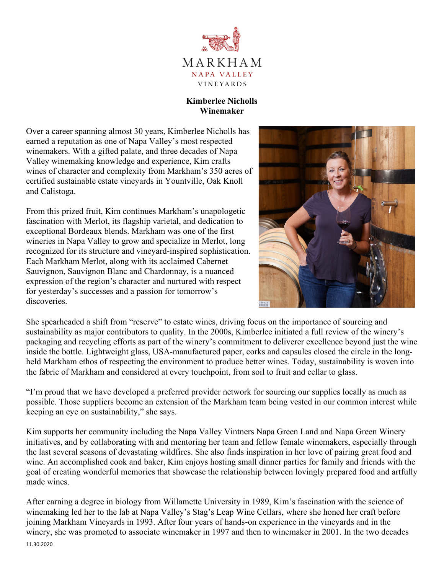

## **Kimberlee Nicholls Winemaker**

Over a career spanning almost 30 years, Kimberlee Nicholls has earned a reputation as one of Napa Valley's most respected winemakers. With a gifted palate, and three decades of Napa Valley winemaking knowledge and experience, Kim crafts wines of character and complexity from Markham's 350 acres of certified sustainable estate vineyards in Yountville, Oak Knoll and Calistoga.

From this prized fruit, Kim continues Markham's unapologetic fascination with Merlot, its flagship varietal, and dedication to exceptional Bordeaux blends. Markham was one of the first wineries in Napa Valley to grow and specialize in Merlot, long recognized for its structure and vineyard-inspired sophistication. Each Markham Merlot, along with its acclaimed Cabernet Sauvignon, Sauvignon Blanc and Chardonnay, is a nuanced expression of the region's character and nurtured with respect for yesterday's successes and a passion for tomorrow's discoveries.



She spearheaded a shift from "reserve" to estate wines, driving focus on the importance of sourcing and sustainability as major contributors to quality. In the 2000s, Kimberlee initiated a full review of the winery's packaging and recycling efforts as part of the winery's commitment to deliverer excellence beyond just the wine inside the bottle. Lightweight glass, USA-manufactured paper, corks and capsules closed the circle in the longheld Markham ethos of respecting the environment to produce better wines. Today, sustainability is woven into the fabric of Markham and considered at every touchpoint, from soil to fruit and cellar to glass.

"I'm proud that we have developed a preferred provider network for sourcing our supplies locally as much as possible. Those suppliers become an extension of the Markham team being vested in our common interest while keeping an eye on sustainability," she says.

Kim supports her community including the Napa Valley Vintners Napa Green Land and Napa Green Winery initiatives, and by collaborating with and mentoring her team and fellow female winemakers, especially through the last several seasons of devastating wildfires. She also finds inspiration in her love of pairing great food and wine. An accomplished cook and baker, Kim enjoys hosting small dinner parties for family and friends with the goal of creating wonderful memories that showcase the relationship between lovingly prepared food and artfully made wines.

11.30.2020 After earning a degree in biology from Willamette University in 1989, Kim's fascination with the science of winemaking led her to the lab at Napa Valley's Stag's Leap Wine Cellars, where she honed her craft before joining Markham Vineyards in 1993. After four years of hands-on experience in the vineyards and in the winery, she was promoted to associate winemaker in 1997 and then to winemaker in 2001. In the two decades